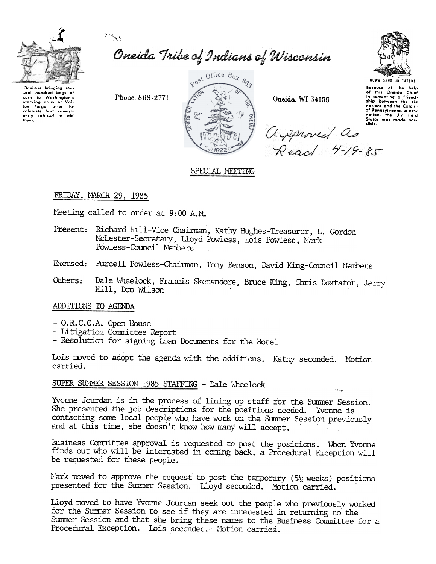

Oneida Tribe of Indians of Wisconsin

Oneidas bringing se aral hundred bags of corn to Washington's<br>starving army at Valington's<br>luy Forge, after the<br>colonists had consistently refused to aid<br>them. to Washington's

Phone: 869-2771



Oneida, WI 54155



Because of the help<br>of this Oneida Chief in comenting a friend-<br>ship between the six nations and the Colony recovery the theory of Pennsylvania, a new<br>nation, the United<br>States was made pos-<br>sible.

Auproved as<br>Read 4-19-85

# SPECIAL MEETING

# FRIDAY, MARCH 29, 1985

Meeting called to order at 9:00 A.M.

- Present: Richard Hill-Vice Chairman, Kathy Hughes-Treasurer, L. Gordon McLester-Secretary, Lloyd Powless, Lois Powless, Mark Powless-Council Members
- Excused: Purcell Powless-Chairman, Tony Benson, David King-Council Members
- Dale Wheelock, Francis Skenandore, Bruce King, Chris Doxtator, Jerry Others: Hill. Don Wilson

# ADDITIONS TO AGENDA

- O.R.C.O.A. Open House
- Litigation Committee Report
- Resolution for signing Loan Documents for the Hotel

Lois moved to adopt the agenda with the additions. Kathy seconded. Motion carried.

# SUPER SUMMER SESSION 1985 STAFFING - Dale Wheelock

Yvonne Jourdan is in the process of lining up staff for the Summer Session. She presented the job descriptions for the positions needed. Yvonne is contacting some local people who have work on the Summer Session previously and at this time, she doesn't know how many will accept.

Business Committee approval is requested to post the positions. When Yvorme finds out who will be interested in coming back, a Procedural Exception will be requested for these people.

Mark moved to approve the request to post the temporary  $(5\frac{1}{2}$  weeks) positions presented for the Summer Session. Lloyd seconded. Motion carried.

Lloyd moved to have Yvorme Jourdan seek out the people who previously worked for the Summer Session to see if they are interested in returning to the Summer Session and that she bring these names to the Business Committee for a Procedural Exception. Lois seconded. Notion carried.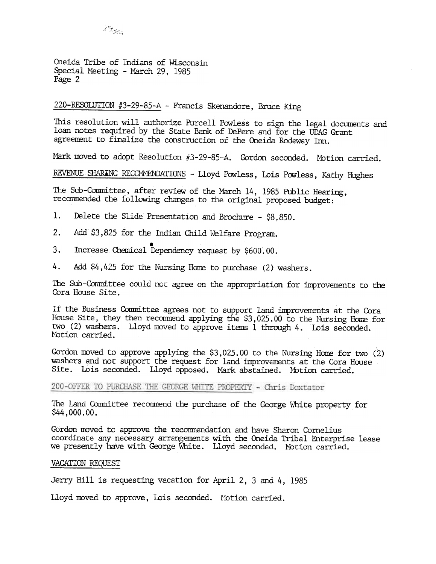

Oneida Tribe of Indians of Wisconsin Special Meeting - March 29, 1985 Page 2

# 220-RESOLUTION #3-29-85-A - Francis Skenandore, Bruce King

This resolution will authorize Purcell Powless to sign the legal documents and loan notes required by the State Bank of DePere and for the UDAG Grant agreement to finalize the construction of the Oneida Rodeway Inn.

Mark moved to adopt Resolution #3-29-85-A. Gordon seconded. Motion carried.

REVENUE SHARING RECCMMENDATIONS - Lloyd Powless, Lois Powless, Kathy Hughes

The Sub-Committee, after review of the March 14, 1985 Public Hearing, recommended the following changes to the original proposed budget:

- 1. Delete the Slide Presentation and Brochure \$8,850.
- Add \$3,825 for the Indian Child Welfare Program.<br>Increase Chemical Dependency request by \$600.00.  $2.1$ Add \$3,825 for the Indian Child Welfare Program.
- $\overline{3}$ .
- 4. Add \$4,425 for the Nursing Home to purchase (2) washers.

The Sub-Comnittee could not agree on the appropriation for improvements to the Cora House Site.

If the Business Committee agrees not to support land improvements at the Cora House Site, they then recommend applying the  $$3,025.00$  to the Nursing Home for two (2) washers. Lloyd moved to approve items 1 through 4. Lois seconded. Motion carried.

Gordon moved to approve applying the  $$3,025.00$  to the Nursing Home for two (2) washers and not support the request for land improvements at the Cora House Site. Lois seconded. Lloyd opposed. Mark abstained. Motion carried.

#### 200-OFFER TO PURCHASE THE GEORGE WHITE PROPERTY - Chris Doxtator

The Land Committee recommend the purchase of the George White property for \$44,000.00.

Gordon moved to approve the recommendation and have Sharon Cornelius coordinate any necessary arrangements with the Oneida Tribal Enterprise lease we presently have with George White. Lloyd seconded. Motion carried.

## VACATION REQUEST

Jerry Hill is requesting vacation for April 2, 3 and 4, 1985

Lloyd moved to approve, Lois seconded. Notion carried.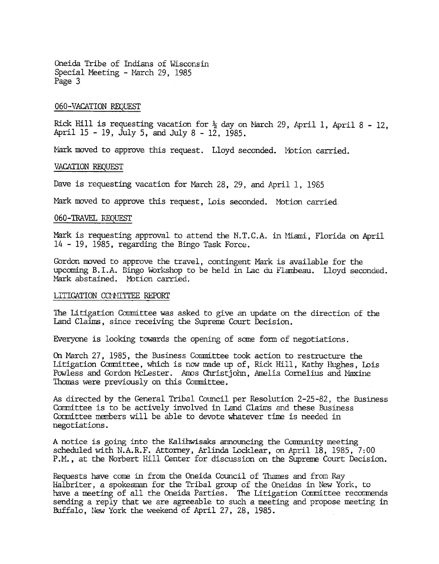Oneida Tribe of Indians of Wisconsin Special Meeting - March 29, 1985 Page 3

## 060-VACATION REQUEST

Rick Hill is requesting vacation for  $\frac{1}{2}$  day on March 29, April 1, April 8 - 12. April 15 - 19, July 5, and July 8 - 12, 1985.

Mark moved to approve this request. Lloyd seconded. Motion carried.

#### VACATION REQUEST

Dave is requesting vacation for March 28, 29, and April 1, 1985

Mark moved to approve this request, Lois seconded. Motion carried,

### Q60-TRAVEL r\EQUEST

Mark is requesting approval to attend the N.T.C.A. in Miami, Florida on April 14 -19,1985, regarding the Bingo Task Force.

Gordon moved to approve the travel, contingent Mark is available for the upcoming B.I.A. Bingo Workshop to be held in Lac du Flambeau. Lloyd seconded. Mark abstained. Motion carried.

### LITIGATION COMMITTEE REPORT

The Litigation Committee was asked to give an update on the direction of the Land Claims, since receiving the Supreme Court Decision.

Everyone is looking towards the opening of some form of negotiations.

On March 27, 1985, the Business Committee took action to restructure the Litigation Committee, which is now made up of, Rick Hill, Kathy Hughes, Lois Powless and Gordon McLester. Amos Christjohn, Amelia Cornelius and Maxime Thomas were previously on this Conmittee.

As directed by the General Tribal Council per Resolution 2-25-82, the Business Conmittee is to be actively involved in Land Claims and these Business Cormittee members will be able to devote whatever time is needed in negotiations.

A notice is going into the Kalihwisaks announcing the Community meeting scheduled with N.A.R.F. Attorney, Arlinda Locklear, on April 18, 1985, 7:00 P.M., at the Norbert Hill Center for discussion on the Supreme Court Decision.

Requests have come in from the Oneida Council of Thames and from Ray Halbriter, a spokesman for the Tribal group of the Oneidas in New York, to have a meeting of all the Oneida Parties. The Litigation Committee recommen sending a reply that we are agreeable to such a meeting and propose meeting in Buffalo, New York the weekend of April 27, 28, 1985.